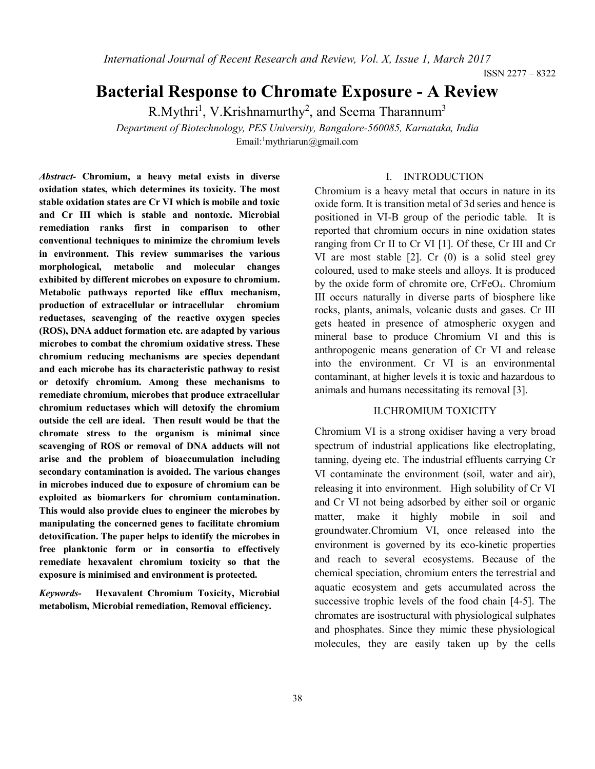*International Journal of Recent Research and Review, Vol. X, Issue 1, March 2017*

ISSN 2277 – 8322

# **Bacterial Response to Chromate Exposure - A Review**

R.Mythri<sup>1</sup>, V.Krishnamurthy<sup>2</sup>, and Seema Tharannum<sup>3</sup>

*Department of Biotechnology, PES University, Bangalore-560085, Karnataka, India* Email: $\frac{1}{m}$ ythriarun@gmail.com

*Abstract-* **Chromium, a heavy metal exists in diverse oxidation states, which determines its toxicity. The most stable oxidation states are Cr VI which is mobile and toxic and Cr III which is stable and nontoxic. Microbial remediation ranks first in comparison to other conventional techniques to minimize the chromium levels in environment. This review summarises the various morphological, metabolic and molecular changes exhibited by different microbes on exposure to chromium. Metabolic pathways reported like efflux mechanism, production of extracellular or intracellular chromium reductases, scavenging of the reactive oxygen species (ROS), DNA adduct formation etc. are adapted by various microbes to combat the chromium oxidative stress. These chromium reducing mechanisms are species dependant and each microbe has its characteristic pathway to resist or detoxify chromium. Among these mechanisms to remediate chromium, microbes that produce extracellular chromium reductases which will detoxify the chromium outside the cell are ideal. Then result would be that the chromate stress to the organism is minimal since scavenging of ROS or removal of DNA adducts will not arise and the problem of bioaccumulation including secondary contamination is avoided. The various changes in microbes induced due to exposure of chromium can be exploited as biomarkers for chromium contamination. This would also provide clues to engineer the microbes by manipulating the concerned genes to facilitate chromium detoxification. The paper helps to identify the microbes in free planktonic form or in consortia to effectively remediate hexavalent chromium toxicity so that the exposure is minimised and environment is protected.**

*Keywords***- Hexavalent Chromium Toxicity, Microbial metabolism, Microbial remediation, Removal efficiency.**

#### I. INTRODUCTION

Chromium is a heavy metal that occurs in nature in its oxide form. It is transition metal of 3d series and hence is positioned in VI-B group of the periodic table. It is reported that chromium occurs in nine oxidation states ranging from Cr II to Cr VI [1]. Of these, Cr III and Cr VI are most stable [2]. Cr (0) is a solid steel grey coloured, used to make steels and alloys. It is produced by the oxide form of chromite ore, CrFeO4. Chromium III occurs naturally in diverse parts of biosphere like rocks, plants, animals, volcanic dusts and gases. Cr III gets heated in presence of atmospheric oxygen and mineral base to produce Chromium VI and this is anthropogenic means generation of Cr VI and release into the environment. Cr VI is an environmental contaminant, at higher levels it is toxic and hazardous to animals and humans necessitating its removal [3].

# II.CHROMIUM TOXICITY

Chromium VI is a strong oxidiser having a very broad spectrum of industrial applications like electroplating, tanning, dyeing etc. The industrial effluents carrying Cr VI contaminate the environment (soil, water and air), releasing it into environment. High solubility of Cr VI and Cr VI not being adsorbed by either soil or organic matter, make it highly mobile in soil and groundwater.Chromium VI, once released into the environment is governed by its eco-kinetic properties and reach to several ecosystems. Because of the chemical speciation, chromium enters the terrestrial and aquatic ecosystem and gets accumulated across the successive trophic levels of the food chain [4-5]. The chromates are isostructural with physiological sulphates and phosphates. Since they mimic these physiological molecules, they are easily taken up by the cells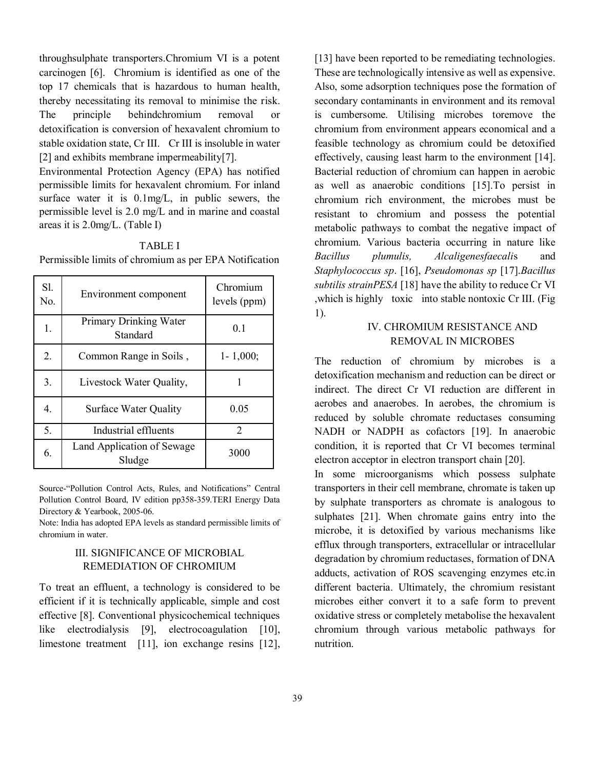throughsulphate transporters.Chromium VI is a potent carcinogen [6]. Chromium is identified as one of the top 17 chemicals that is hazardous to human health, thereby necessitating its removal to minimise the risk. The principle behindchromium removal detoxification is conversion of hexavalent chromium to stable oxidation state, Cr III. Cr III is insoluble in water [2] and exhibits membrane impermeability[7].

Environmental Protection Agency (EPA) has notified permissible limits for hexavalent chromium. For inland surface water it is 0.1mg/L, in public sewers, the permissible level is 2.0 mg/L and in marine and coastal areas it is 2.0mg/L. (Table I)

## TABLE I

Permissible limits of chromium as per EPA Notification

| Sl.<br>No.       | Environment component                | Chromium<br>levels (ppm) |
|------------------|--------------------------------------|--------------------------|
| 1.               | Primary Drinking Water<br>Standard   | 0.1                      |
| $\overline{2}$ . | Common Range in Soils,               | $1 - 1,000;$             |
| 3.               | Livestock Water Quality,             |                          |
| 4.               | <b>Surface Water Quality</b>         | 0.05                     |
| 5.               | Industrial effluents                 | $\mathfrak{D}$           |
| 6.               | Land Application of Sewage<br>Sludge | 3000                     |

Source-"Pollution Control Acts, Rules, and Notifications" Central Pollution Control Board, IV edition pp358-359.TERI Energy Data Directory & Yearbook, 2005-06.

Note: India has adopted EPA levels as standard permissible limits of chromium in water.

# III. SIGNIFICANCE OF MICROBIAL REMEDIATION OF CHROMIUM

To treat an effluent, a technology is considered to be efficient if it is technically applicable, simple and cost effective [8]. Conventional physicochemical techniques like electrodialysis [9], electrocoagulation [10], limestone treatment [11], ion exchange resins [12],

[13] have been reported to be remediating technologies. These are technologically intensive as well as expensive. Also, some adsorption techniques pose the formation of secondary contaminants in environment and its removal is cumbersome. Utilising microbes toremove the chromium from environment appears economical and a feasible technology as chromium could be detoxified effectively, causing least harm to the environment [14]. Bacterial reduction of chromium can happen in aerobic as well as anaerobic conditions [15].To persist in chromium rich environment, the microbes must be resistant to chromium and possess the potential metabolic pathways to combat the negative impact of chromium. Various bacteria occurring in nature like *Bacillus plumulis, Alcaligenesfaecali*s and *Staphylococcus sp*. [16], *Pseudomonas sp* [17].*Bacillus subtilis strainPESA* [18] have the ability to reduce Cr VI ,which is highly toxic into stable nontoxic Cr III. (Fig 1).

# IV. CHROMIUM RESISTANCE AND REMOVAL IN MICROBES

The reduction of chromium by microbes is a detoxification mechanism and reduction can be direct or indirect. The direct Cr VI reduction are different in aerobes and anaerobes. In aerobes, the chromium is reduced by soluble chromate reductases consuming NADH or NADPH as cofactors [19]. In anaerobic condition, it is reported that Cr VI becomes terminal electron acceptor in electron transport chain [20].

In some microorganisms which possess sulphate transporters in their cell membrane, chromate is taken up by sulphate transporters as chromate is analogous to sulphates [21]. When chromate gains entry into the microbe, it is detoxified by various mechanisms like efflux through transporters, extracellular or intracellular degradation by chromium reductases, formation of DNA adducts, activation of ROS scavenging enzymes etc.in different bacteria. Ultimately, the chromium resistant microbes either convert it to a safe form to prevent oxidative stress or completely metabolise the hexavalent chromium through various metabolic pathways for nutrition.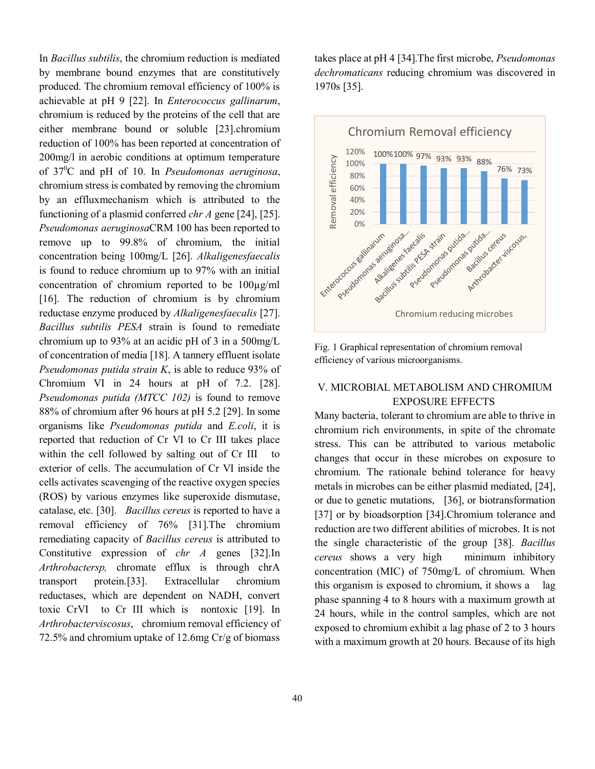In *Bacillus subtilis*, the chromium reduction is mediated by membrane bound enzymes that are constitutively produced. The chromium removal efficiency of 100% is achievable at pH 9 [22]. In *Enterococcus gallinarum*, chromium is reduced by the proteins of the cell that are either membrane bound or soluble [23].chromium reduction of 100% has been reported at concentration of 200mg/l in aerobic conditions at optimum temperature of 37<sup>0</sup>C and pH of 10. In *Pseudomonas aeruginosa*, chromium stress is combated by removing the chromium by an effluxmechanism which is attributed to the functioning of a plasmid conferred *chr A* gene [24], [25]. *Pseudomonas aeruginosa*CRM 100 has been reported to remove up to 99.8% of chromium, the initial concentration being 100mg/L [26]. *Alkaligenesfaecalis* is found to reduce chromium up to 97% with an initial concentration of chromium reported to be 100µg/ml [16]. The reduction of chromium is by chromium reductase enzyme produced by *Alkaligenesfaecalis* [27]. *Bacillus subtilis PESA* strain is found to remediate chromium up to 93% at an acidic pH of 3 in a 500mg/L of concentration of media [18]. A tannery effluent isolate *Pseudomonas putida strain K*, is able to reduce 93% of Chromium VI in 24 hours at pH of 7.2. [28]. *Pseudomonas putida (MTCC 102)* is found to remove 88% of chromium after 96 hours at pH 5.2 [29]. In some organisms like *Pseudomonas putida* and *E.coli*, it is reported that reduction of Cr VI to Cr III takes place within the cell followed by salting out of Cr III to exterior of cells. The accumulation of Cr VI inside the cells activates scavenging of the reactive oxygen species (ROS) by various enzymes like superoxide dismutase, catalase, etc. [30]. *Bacillus cereus* is reported to have a removal efficiency of 76% [31].The chromium remediating capacity of *Bacillus cereus* is attributed to Constitutive expression of *chr A* genes [32].In *Arthrobactersp,* chromate efflux is through chrA transport protein.[33]. Extracellular chromium reductases, which are dependent on NADH, convert toxic CrVI to Cr III which is nontoxic [19]. In *Arthrobacterviscosus*, chromium removal efficiency of 72.5% and chromium uptake of 12.6mg Cr/g of biomass

takes place at pH 4 [34].The first microbe, *Pseudomonas dechromaticans* reducing chromium was discovered in 1970s [35].



Fig. 1 Graphical representation of chromium removal efficiency of various microorganisms.

# V. MICROBIAL METABOLISM AND CHROMIUM EXPOSURE EFFECTS

Many bacteria, tolerant to chromium are able to thrive in chromium rich environments, in spite of the chromate stress. This can be attributed to various metabolic changes that occur in these microbes on exposure to chromium. The rationale behind tolerance for heavy metals in microbes can be either plasmid mediated, [24], or due to genetic mutations, [36], or biotransformation [37] or by bioadsorption [34]. Chromium tolerance and reduction are two different abilities of microbes. It is not the single characteristic of the group [38]. *Bacillus cereus* shows a very high minimum inhibitory concentration (MIC) of 750mg/L of chromium. When this organism is exposed to chromium, it shows a lag phase spanning 4 to 8 hours with a maximum growth at 24 hours, while in the control samples, which are not exposed to chromium exhibit a lag phase of 2 to 3 hours with a maximum growth at 20 hours. Because of its high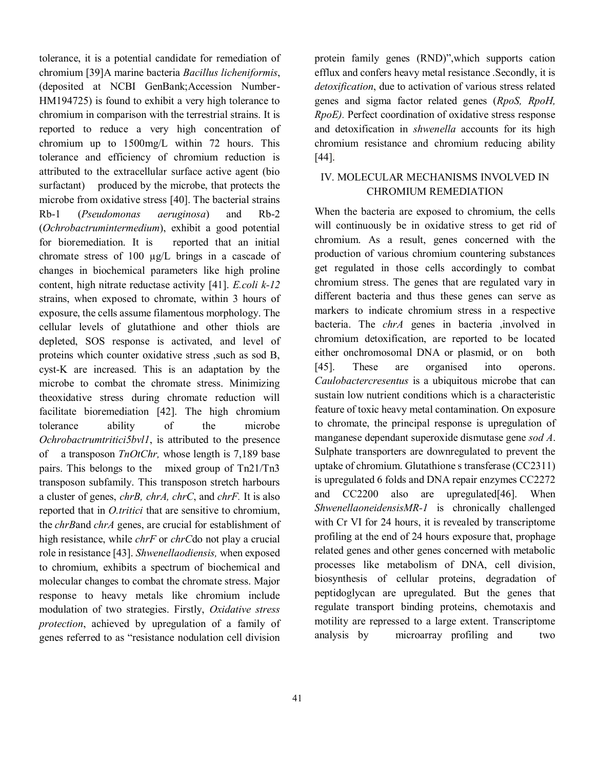tolerance, it is a potential candidate for remediation of chromium [39]A marine bacteria *Bacillus licheniformis*, (deposited at NCBI GenBank;Accession Number-HM194725) is found to exhibit a very high tolerance to chromium in comparison with the terrestrial strains. It is reported to reduce a very high concentration of chromium up to 1500mg/L within 72 hours. This tolerance and efficiency of chromium reduction is attributed to the extracellular surface active agent (bio surfactant) produced by the microbe, that protects the microbe from oxidative stress [40]. The bacterial strains Rb-1 (*Pseudomonas aeruginosa*) and Rb-2 (*Ochrobactrumintermedium*), exhibit a good potential for bioremediation. It is reported that an initial chromate stress of 100 µg/L brings in a cascade of changes in biochemical parameters like high proline content, high nitrate reductase activity [41]. *E.coli k-12* strains, when exposed to chromate, within 3 hours of exposure, the cells assume filamentous morphology. The cellular levels of glutathione and other thiols are depleted, SOS response is activated, and level of proteins which counter oxidative stress ,such as sod B, cyst-K are increased. This is an adaptation by the microbe to combat the chromate stress. Minimizing theoxidative stress during chromate reduction will facilitate bioremediation [42]. The high chromium tolerance ability of the microbe *Ochrobactrumtritici5bvl1*, is attributed to the presence of a transposon *TnOtChr,* whose length is 7,189 base pairs. This belongs to the mixed group of Tn21/Tn3 transposon subfamily. This transposon stretch harbours a cluster of genes, *chrB, chrA, chrC*, and *chrF.* It is also reported that in *O.tritici* that are sensitive to chromium, the *chrB*and *chrA* genes, are crucial for establishment of high resistance, while *chrF* or *chrC*do not play a crucial role in resistance [43]. *Shwenellaodiensis,* when exposed to chromium, exhibits a spectrum of biochemical and molecular changes to combat the chromate stress. Major response to heavy metals like chromium include modulation of two strategies. Firstly, *Oxidative stress protection*, achieved by upregulation of a family of genes referred to as "resistance nodulation cell division

41

protein family genes (RND)",which supports cation efflux and confers heavy metal resistance .Secondly, it is *detoxification*, due to activation of various stress related genes and sigma factor related genes (*RpoS, RpoH, RpoE).* Perfect coordination of oxidative stress response and detoxification in *shwenella* accounts for its high chromium resistance and chromium reducing ability [44].

# IV. MOLECULAR MECHANISMS INVOLVED IN CHROMIUM REMEDIATION

When the bacteria are exposed to chromium, the cells will continuously be in oxidative stress to get rid of chromium. As a result, genes concerned with the production of various chromium countering substances get regulated in those cells accordingly to combat chromium stress. The genes that are regulated vary in different bacteria and thus these genes can serve as markers to indicate chromium stress in a respective bacteria. The *chrA* genes in bacteria ,involved in chromium detoxification, are reported to be located either onchromosomal DNA or plasmid, or on both [45]. These are organised into operons. *Caulobactercresentus* is a ubiquitous microbe that can sustain low nutrient conditions which is a characteristic feature of toxic heavy metal contamination. On exposure to chromate, the principal response is upregulation of manganese dependant superoxide dismutase gene *sod A*. Sulphate transporters are downregulated to prevent the uptake of chromium. Glutathione s transferase (CC2311) is upregulated 6 folds and DNA repair enzymes CC2272 and CC2200 also are upregulated[46]. When *ShwenellaoneidensisMR-1* is chronically challenged with Cr VI for 24 hours, it is revealed by transcriptome profiling at the end of 24 hours exposure that, prophage related genes and other genes concerned with metabolic processes like metabolism of DNA, cell division, biosynthesis of cellular proteins, degradation of peptidoglycan are upregulated. But the genes that regulate transport binding proteins, chemotaxis and motility are repressed to a large extent. Transcriptome analysis by microarray profiling and two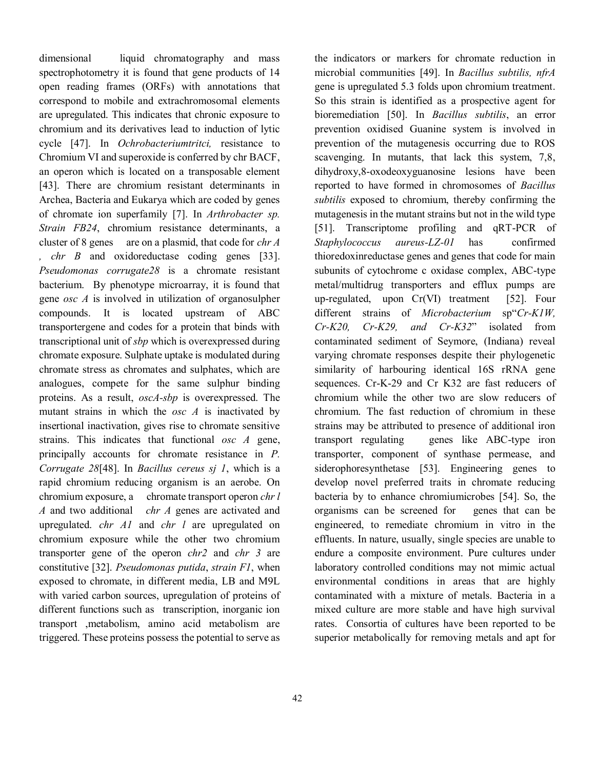dimensional liquid chromatography and mass spectrophotometry it is found that gene products of 14 open reading frames (ORFs) with annotations that correspond to mobile and extrachromosomal elements are upregulated. This indicates that chronic exposure to chromium and its derivatives lead to induction of lytic cycle [47]. In *Ochrobacteriumtritci,* resistance to Chromium VI and superoxide is conferred by chr BACF, an operon which is located on a transposable element [43]. There are chromium resistant determinants in Archea, Bacteria and Eukarya which are coded by genes of chromate ion superfamily [7]. In *Arthrobacter sp. Strain FB24*, chromium resistance determinants, a cluster of 8 genes are on a plasmid, that code for *chr A , chr B* and oxidoreductase coding genes [33]. *Pseudomonas corrugate28* is a chromate resistant bacterium. By phenotype microarray, it is found that gene *osc A* is involved in utilization of organosulpher compounds. It is located upstream of ABC transportergene and codes for a protein that binds with transcriptional unit of *sbp* which is overexpressed during chromate exposure. Sulphate uptake is modulated during chromate stress as chromates and sulphates, which are analogues, compete for the same sulphur binding proteins. As a result, *oscA-sbp* is overexpressed. The mutant strains in which the *osc A* is inactivated by insertional inactivation, gives rise to chromate sensitive strains. This indicates that functional *osc A* gene, principally accounts for chromate resistance in *P. Corrugate 28*[48]. In *Bacillus cereus sj 1*, which is a rapid chromium reducing organism is an aerobe. On chromium exposure, a chromate transport operon *chr l A* and two additional *chr A* genes are activated and upregulated. *chr A1* and *chr l* are upregulated on chromium exposure while the other two chromium transporter gene of the operon *chr2* and *chr 3* are constitutive [32]. *Pseudomonas putida*, *strain F1*, when exposed to chromate, in different media, LB and M9L with varied carbon sources, upregulation of proteins of different functions such as transcription, inorganic ion transport ,metabolism, amino acid metabolism are triggered. These proteins possess the potential to serve as

42

the indicators or markers for chromate reduction in microbial communities [49]. In *Bacillus subtilis, nfrA* gene is upregulated 5.3 folds upon chromium treatment. So this strain is identified as a prospective agent for bioremediation [50]. In *Bacillus subtilis*, an error prevention oxidised Guanine system is involved in prevention of the mutagenesis occurring due to ROS scavenging. In mutants, that lack this system, 7,8, dihydroxy,8-oxodeoxyguanosine lesions have been reported to have formed in chromosomes of *Bacillus subtilis* exposed to chromium, thereby confirming the mutagenesis in the mutant strains but not in the wild type [51]. Transcriptome profiling and qRT-PCR of *Staphylococcus aureus-LZ-01* has confirmed thioredoxinreductase genes and genes that code for main subunits of cytochrome c oxidase complex, ABC-type metal/multidrug transporters and efflux pumps are up-regulated, upon Cr(VI) treatment [52]. Four different strains of *Microbacterium* sp"*Cr-K1W, Cr-K20, Cr-K29, and Cr-K32*" isolated from contaminated sediment of Seymore, (Indiana) reveal varying chromate responses despite their phylogenetic similarity of harbouring identical 16S rRNA gene sequences. Cr-K-29 and Cr K32 are fast reducers of chromium while the other two are slow reducers of chromium. The fast reduction of chromium in these strains may be attributed to presence of additional iron transport regulating genes like ABC-type iron transporter, component of synthase permease, and siderophoresynthetase [53]. Engineering genes to develop novel preferred traits in chromate reducing bacteria by to enhance chromiumicrobes [54]. So, the organisms can be screened for genes that can be engineered, to remediate chromium in vitro in the effluents. In nature, usually, single species are unable to endure a composite environment. Pure cultures under laboratory controlled conditions may not mimic actual environmental conditions in areas that are highly contaminated with a mixture of metals. Bacteria in a mixed culture are more stable and have high survival rates. Consortia of cultures have been reported to be superior metabolically for removing metals and apt for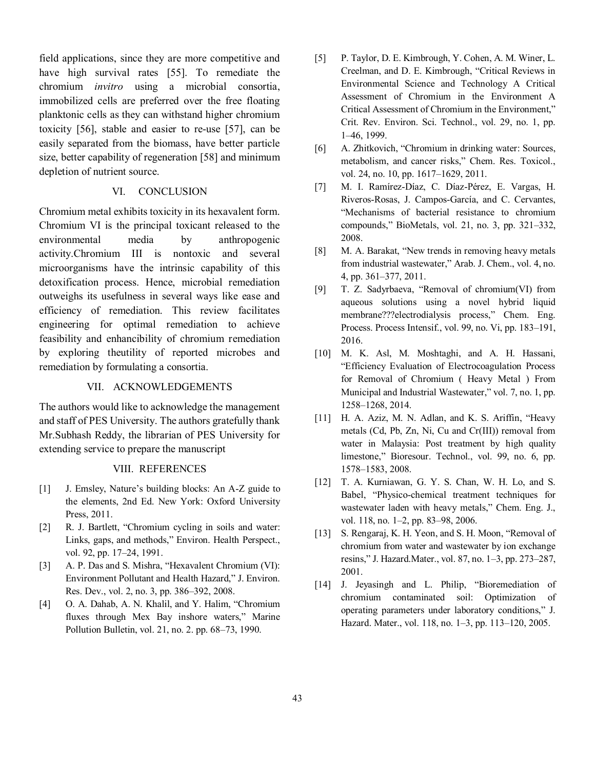field applications, since they are more competitive and have high survival rates [55]. To remediate the chromium *invitro* using a microbial consortia, immobilized cells are preferred over the free floating planktonic cells as they can withstand higher chromium toxicity [56], stable and easier to re-use [57], can be easily separated from the biomass, have better particle size, better capability of regeneration [58] and minimum depletion of nutrient source.

# VI. CONCLUSION

Chromium metal exhibits toxicity in its hexavalent form. Chromium VI is the principal toxicant released to the environmental media by anthropogenic activity.Chromium III is nontoxic and several microorganisms have the intrinsic capability of this detoxification process. Hence, microbial remediation outweighs its usefulness in several ways like ease and efficiency of remediation. This review facilitates engineering for optimal remediation to achieve feasibility and enhancibility of chromium remediation by exploring theutility of reported microbes and remediation by formulating a consortia.

#### VII. ACKNOWLEDGEMENTS

The authors would like to acknowledge the management and staff of PES University. The authors gratefully thank Mr.Subhash Reddy, the librarian of PES University for extending service to prepare the manuscript

## VIII. REFERENCES

- [1] J. Emsley, Nature's building blocks: An A-Z guide to the elements, 2nd Ed. New York: Oxford University Press, 2011.
- [2] R. J. Bartlett, "Chromium cycling in soils and water: Links, gaps, and methods," Environ. Health Perspect., vol. 92, pp. 17–24, 1991.
- [3] A. P. Das and S. Mishra, "Hexavalent Chromium (VI): Environment Pollutant and Health Hazard," J. Environ. Res. Dev., vol. 2, no. 3, pp. 386–392, 2008.
- [4] O. A. Dahab, A. N. Khalil, and Y. Halim, "Chromium fluxes through Mex Bay inshore waters," Marine Pollution Bulletin, vol. 21, no. 2. pp. 68–73, 1990.
- [5] P. Taylor, D. E. Kimbrough, Y. Cohen, A. M. Winer, L. Creelman, and D. E. Kimbrough, "Critical Reviews in Environmental Science and Technology A Critical Assessment of Chromium in the Environment A Critical Assessment of Chromium in the Environment," Crit. Rev. Environ. Sci. Technol., vol. 29, no. 1, pp. 1–46, 1999.
- [6] A. Zhitkovich, "Chromium in drinking water: Sources, metabolism, and cancer risks," Chem. Res. Toxicol., vol. 24, no. 10, pp. 1617–1629, 2011.
- [7] M. I. Ramírez-Díaz, C. Díaz-Pérez, E. Vargas, H. Riveros-Rosas, J. Campos-García, and C. Cervantes, "Mechanisms of bacterial resistance to chromium compounds," BioMetals, vol. 21, no. 3, pp. 321–332, 2008.
- [8] M. A. Barakat, "New trends in removing heavy metals from industrial wastewater," Arab. J. Chem., vol. 4, no. 4, pp. 361–377, 2011.
- [9] T. Z. Sadyrbaeva, "Removal of chromium(VI) from aqueous solutions using a novel hybrid liquid membrane???electrodialysis process," Chem. Eng. Process. Process Intensif., vol. 99, no. Vi, pp. 183–191, 2016.
- [10] M. K. Asl, M. Moshtaghi, and A. H. Hassani, "Efficiency Evaluation of Electrocoagulation Process for Removal of Chromium ( Heavy Metal ) From Municipal and Industrial Wastewater," vol. 7, no. 1, pp. 1258–1268, 2014.
- [11] H. A. Aziz, M. N. Adlan, and K. S. Ariffin, "Heavy metals (Cd, Pb, Zn, Ni, Cu and Cr(III)) removal from water in Malaysia: Post treatment by high quality limestone," Bioresour. Technol., vol. 99, no. 6, pp. 1578–1583, 2008.
- [12] T. A. Kurniawan, G. Y. S. Chan, W. H. Lo, and S. Babel, "Physico-chemical treatment techniques for wastewater laden with heavy metals," Chem. Eng. J., vol. 118, no. 1–2, pp. 83–98, 2006.
- [13] S. Rengaraj, K. H. Yeon, and S. H. Moon, "Removal of chromium from water and wastewater by ion exchange resins," J. Hazard.Mater., vol. 87, no. 1–3, pp. 273–287, 2001.
- [14] J. Jeyasingh and L. Philip, "Bioremediation of chromium contaminated soil: Optimization of operating parameters under laboratory conditions," J. Hazard. Mater., vol. 118, no. 1–3, pp. 113–120, 2005.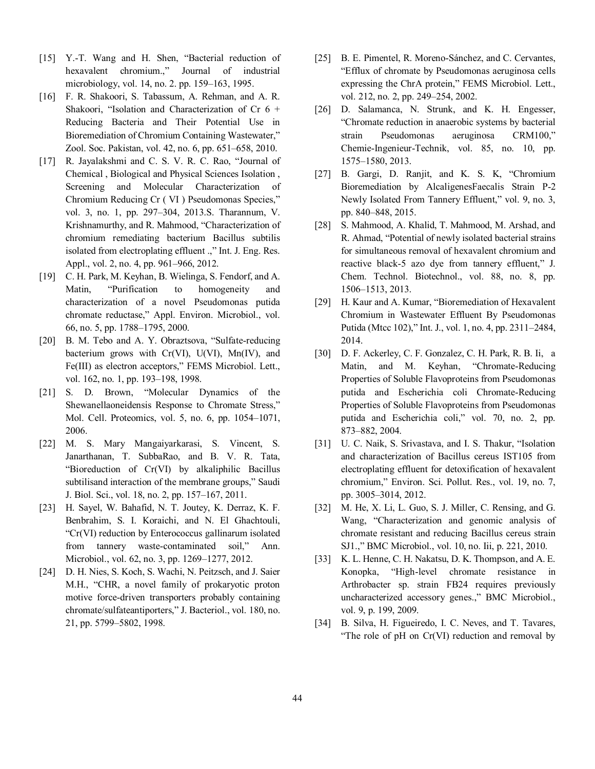- [15] Y.-T. Wang and H. Shen, "Bacterial reduction of hexavalent chromium.," Journal of industrial microbiology, vol. 14, no. 2. pp. 159–163, 1995.
- [16] F. R. Shakoori, S. Tabassum, A. Rehman, and A. R. Shakoori, "Isolation and Characterization of Cr 6 + Reducing Bacteria and Their Potential Use in Bioremediation of Chromium Containing Wastewater," Zool. Soc. Pakistan, vol. 42, no. 6, pp. 651–658, 2010.
- [17] R. Jayalakshmi and C. S. V. R. C. Rao, "Journal of Chemical , Biological and Physical Sciences Isolation , Screening and Molecular Characterization of Chromium Reducing Cr ( VI ) Pseudomonas Species," vol. 3, no. 1, pp. 297–304, 2013.S. Tharannum, V. Krishnamurthy, and R. Mahmood, "Characterization of chromium remediating bacterium Bacillus subtilis isolated from electroplating effluent .," Int. J. Eng. Res. Appl., vol. 2, no. 4, pp. 961–966, 2012.
- [19] C. H. Park, M. Keyhan, B. Wielinga, S. Fendorf, and A. Matin, "Purification to homogeneity and characterization of a novel Pseudomonas putida chromate reductase," Appl. Environ. Microbiol., vol. 66, no. 5, pp. 1788–1795, 2000.
- [20] B. M. Tebo and A. Y. Obraztsova, "Sulfate-reducing bacterium grows with  $Cr(VI)$ ,  $U(VI)$ ,  $Mn(IV)$ , and Fe(III) as electron acceptors," FEMS Microbiol. Lett., vol. 162, no. 1, pp. 193–198, 1998.
- [21] S. D. Brown, "Molecular Dynamics of the Shewanellaoneidensis Response to Chromate Stress," Mol. Cell. Proteomics, vol. 5, no. 6, pp. 1054–1071, 2006.
- [22] M. S. Mary Mangaiyarkarasi, S. Vincent, S. Janarthanan, T. SubbaRao, and B. V. R. Tata, "Bioreduction of Cr(VI) by alkaliphilic Bacillus subtilisand interaction of the membrane groups," Saudi J. Biol. Sci., vol. 18, no. 2, pp. 157–167, 2011.
- [23] H. Sayel, W. Bahafid, N. T. Joutey, K. Derraz, K. F. Benbrahim, S. I. Koraichi, and N. El Ghachtouli, "Cr(VI) reduction by Enterococcus gallinarum isolated from tannery waste-contaminated soil," Ann. Microbiol., vol. 62, no. 3, pp. 1269–1277, 2012.
- [24] D. H. Nies, S. Koch, S. Wachi, N. Peitzsch, and J. Saier M.H., "CHR, a novel family of prokaryotic proton motive force-driven transporters probably containing chromate/sulfateantiporters," J. Bacteriol., vol. 180, no. 21, pp. 5799–5802, 1998.
- [25] B. E. Pimentel, R. Moreno-Sánchez, and C. Cervantes, "Efflux of chromate by Pseudomonas aeruginosa cells expressing the ChrA protein," FEMS Microbiol. Lett., vol. 212, no. 2, pp. 249–254, 2002.
- [26] D. Salamanca, N. Strunk, and K. H. Engesser, "Chromate reduction in anaerobic systems by bacterial strain Pseudomonas aeruginosa CRM100," Chemie-Ingenieur-Technik, vol. 85, no. 10, pp. 1575–1580, 2013.
- [27] B. Gargi, D. Ranjit, and K. S. K, "Chromium Bioremediation by AlcaligenesFaecalis Strain P-2 Newly Isolated From Tannery Effluent," vol. 9, no. 3, pp. 840–848, 2015.
- [28] S. Mahmood, A. Khalid, T. Mahmood, M. Arshad, and R. Ahmad, "Potential of newly isolated bacterial strains for simultaneous removal of hexavalent chromium and reactive black-5 azo dye from tannery effluent," J. Chem. Technol. Biotechnol., vol. 88, no. 8, pp. 1506–1513, 2013.
- [29] H. Kaur and A. Kumar, "Bioremediation of Hexavalent" Chromium in Wastewater Effluent By Pseudomonas Putida (Mtcc 102)," Int. J., vol. 1, no. 4, pp. 2311–2484, 2014.
- [30] D. F. Ackerley, C. F. Gonzalez, C. H. Park, R. B. Ii, a Matin, and M. Keyhan, "Chromate-Reducing Properties of Soluble Flavoproteins from Pseudomonas putida and Escherichia coli Chromate-Reducing Properties of Soluble Flavoproteins from Pseudomonas putida and Escherichia coli," vol. 70, no. 2, pp. 873–882, 2004.
- [31] U. C. Naik, S. Srivastava, and I. S. Thakur, "Isolation and characterization of Bacillus cereus IST105 from electroplating effluent for detoxification of hexavalent chromium," Environ. Sci. Pollut. Res., vol. 19, no. 7, pp. 3005–3014, 2012.
- [32] M. He, X. Li, L. Guo, S. J. Miller, C. Rensing, and G. Wang, "Characterization and genomic analysis of chromate resistant and reducing Bacillus cereus strain SJ1.," BMC Microbiol., vol. 10, no. Iii, p. 221, 2010.
- [33] K. L. Henne, C. H. Nakatsu, D. K. Thompson, and A. E. Konopka, "High-level chromate resistance in Arthrobacter sp. strain FB24 requires previously uncharacterized accessory genes.," BMC Microbiol., vol. 9, p. 199, 2009.
- [34] B. Silva, H. Figueiredo, I. C. Neves, and T. Tavares, "The role of pH on Cr(VI) reduction and removal by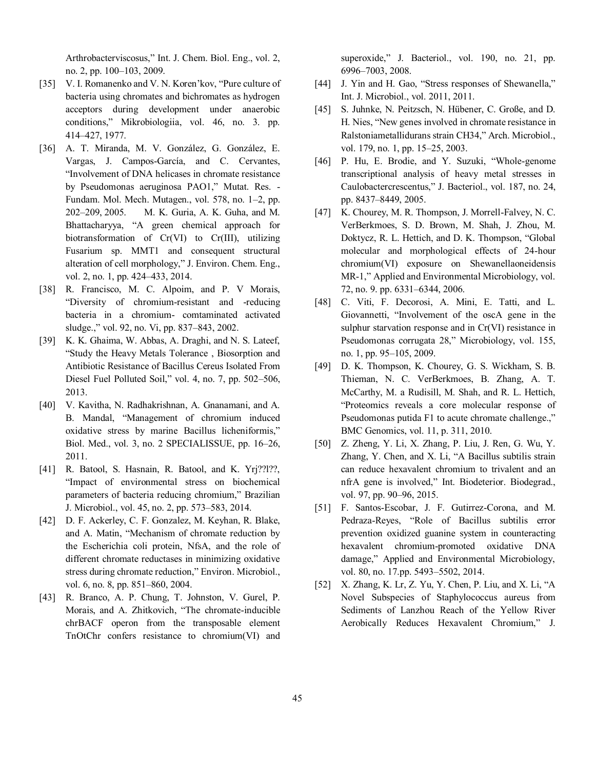Arthrobacterviscosus," Int. J. Chem. Biol. Eng., vol. 2, no. 2, pp. 100–103, 2009.

- [35] V. I. Romanenko and V. N. Koren'kov, "Pure culture of bacteria using chromates and bichromates as hydrogen acceptors during development under anaerobic conditions," Mikrobiologiia, vol. 46, no. 3. pp. 414–427, 1977.
- [36] A. T. Miranda, M. V. González, G. González, E. Vargas, J. Campos-García, and C. Cervantes, "Involvement of DNA helicases in chromate resistance by Pseudomonas aeruginosa PAO1," Mutat. Res. - Fundam. Mol. Mech. Mutagen., vol. 578, no. 1–2, pp. 202–209, 2005. M. K. Guria, A. K. Guha, and M. Bhattacharyya, "A green chemical approach for biotransformation of Cr(VI) to Cr(III), utilizing Fusarium sp. MMT1 and consequent structural alteration of cell morphology," J. Environ. Chem. Eng., vol. 2, no. 1, pp. 424–433, 2014.
- [38] R. Francisco, M. C. Alpoim, and P. V Morais, "Diversity of chromium-resistant and -reducing bacteria in a chromium- comtaminated activated sludge.," vol. 92, no. Vi, pp. 837–843, 2002.
- [39] K. K. Ghaima, W. Abbas, A. Draghi, and N. S. Lateef, "Study the Heavy Metals Tolerance , Biosorption and Antibiotic Resistance of Bacillus Cereus Isolated From Diesel Fuel Polluted Soil," vol. 4, no. 7, pp. 502–506, 2013.
- [40] V. Kavitha, N. Radhakrishnan, A. Gnanamani, and A. B. Mandal, "Management of chromium induced oxidative stress by marine Bacillus licheniformis," Biol. Med., vol. 3, no. 2 SPECIALISSUE, pp. 16–26, 2011.
- [41] R. Batool, S. Hasnain, R. Batool, and K. Yrj??l??, "Impact of environmental stress on biochemical parameters of bacteria reducing chromium," Brazilian J. Microbiol., vol. 45, no. 2, pp. 573–583, 2014.
- [42] D. F. Ackerley, C. F. Gonzalez, M. Keyhan, R. Blake, and A. Matin, "Mechanism of chromate reduction by the Escherichia coli protein, NfsA, and the role of different chromate reductases in minimizing oxidative stress during chromate reduction," Environ. Microbiol., vol. 6, no. 8, pp. 851–860, 2004.
- [43] R. Branco, A. P. Chung, T. Johnston, V. Gurel, P. Morais, and A. Zhitkovich, "The chromate-inducible chrBACF operon from the transposable element TnOtChr confers resistance to chromium(VI) and

superoxide," J. Bacteriol., vol. 190, no. 21, pp. 6996–7003, 2008.

- [44] J. Yin and H. Gao, "Stress responses of Shewanella," Int. J. Microbiol., vol. 2011, 2011.
- [45] S. Juhnke, N. Peitzsch, N. Hübener, C. Große, and D. H. Nies, "New genes involved in chromate resistance in Ralstoniametallidurans strain CH34," Arch. Microbiol., vol. 179, no. 1, pp. 15–25, 2003.
- [46] P. Hu, E. Brodie, and Y. Suzuki, "Whole-genome transcriptional analysis of heavy metal stresses in Caulobactercrescentus," J. Bacteriol., vol. 187, no. 24, pp. 8437–8449, 2005.
- [47] K. Chourey, M. R. Thompson, J. Morrell-Falvey, N. C. VerBerkmoes, S. D. Brown, M. Shah, J. Zhou, M. Doktycz, R. L. Hettich, and D. K. Thompson, "Global molecular and morphological effects of 24-hour chromium(VI) exposure on Shewanellaoneidensis MR-1," Applied and Environmental Microbiology, vol. 72, no. 9. pp. 6331–6344, 2006.
- [48] C. Viti, F. Decorosi, A. Mini, E. Tatti, and L. Giovannetti, "Involvement of the oscA gene in the sulphur starvation response and in Cr(VI) resistance in Pseudomonas corrugata 28," Microbiology, vol. 155, no. 1, pp. 95–105, 2009.
- [49] D. K. Thompson, K. Chourey, G. S. Wickham, S. B. Thieman, N. C. VerBerkmoes, B. Zhang, A. T. McCarthy, M. a Rudisill, M. Shah, and R. L. Hettich, "Proteomics reveals a core molecular response of Pseudomonas putida F1 to acute chromate challenge.," BMC Genomics, vol. 11, p. 311, 2010.
- [50] Z. Zheng, Y. Li, X. Zhang, P. Liu, J. Ren, G. Wu, Y. Zhang, Y. Chen, and X. Li, "A Bacillus subtilis strain can reduce hexavalent chromium to trivalent and an nfrA gene is involved," Int. Biodeterior. Biodegrad., vol. 97, pp. 90–96, 2015.
- [51] F. Santos-Escobar, J. F. Gutirrez-Corona, and M. Pedraza-Reyes, "Role of Bacillus subtilis error prevention oxidized guanine system in counteracting hexavalent chromium-promoted oxidative DNA damage," Applied and Environmental Microbiology, vol. 80, no. 17.pp. 5493–5502, 2014.
- [52] X. Zhang, K. Lr, Z. Yu, Y. Chen, P. Liu, and X. Li, "A Novel Subspecies of Staphylococcus aureus from Sediments of Lanzhou Reach of the Yellow River Aerobically Reduces Hexavalent Chromium," J.